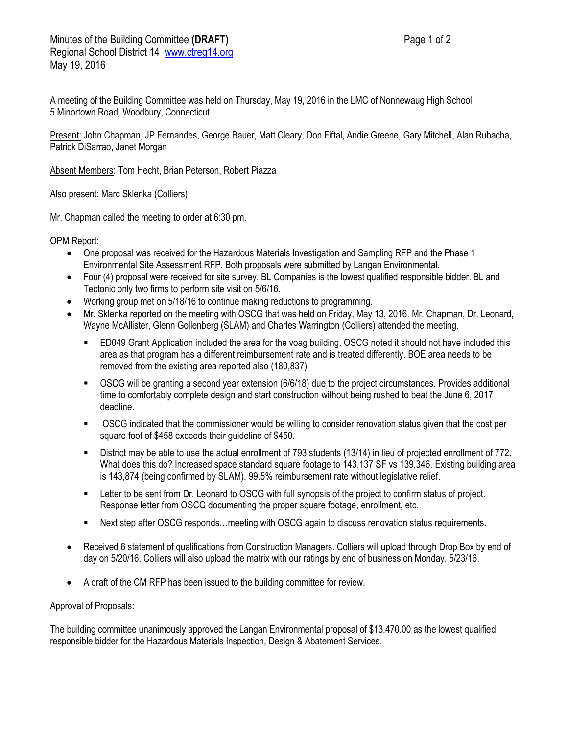A meeting of the Building Committee was held on Thursday, May 19, 2016 in the LMC of Nonnewaug High School, 5 Minortown Road, Woodbury, Connecticut.

Present: John Chapman, JP Fernandes, George Bauer, Matt Cleary, Don Fiftal, Andie Greene, Gary Mitchell, Alan Rubacha, Patrick DiSarrao, Janet Morgan

Absent Members: Tom Hecht, Brian Peterson, Robert Piazza

Also present: Marc Sklenka (Colliers)

Mr. Chapman called the meeting to order at 6:30 pm.

OPM Report:

- One proposal was received for the Hazardous Materials Investigation and Sampling RFP and the Phase 1 Environmental Site Assessment RFP. Both proposals were submitted by Langan Environmental.
- Four (4) proposal were received for site survey. BL Companies is the lowest qualified responsible bidder. BL and Tectonic only two firms to perform site visit on 5/6/16.
- Working group met on 5/18/16 to continue making reductions to programming.
- Mr. Sklenka reported on the meeting with OSCG that was held on Friday, May 13, 2016. Mr. Chapman, Dr. Leonard, Wayne McAllister, Glenn Gollenberg (SLAM) and Charles Warrington (Colliers) attended the meeting.
	- ED049 Grant Application included the area for the voag building. OSCG noted it should not have included this area as that program has a different reimbursement rate and is treated differently. BOE area needs to be removed from the existing area reported also (180,837)
	- OSCG will be granting a second year extension (6/6/18) due to the project circumstances. Provides additional time to comfortably complete design and start construction without being rushed to beat the June 6, 2017 deadline.
	- OSCG indicated that the commissioner would be willing to consider renovation status given that the cost per square foot of \$458 exceeds their guideline of \$450.
	- District may be able to use the actual enrollment of 793 students (13/14) in lieu of projected enrollment of 772. What does this do? Increased space standard square footage to 143,137 SF vs 139,346. Existing building area is 143,874 (being confirmed by SLAM). 99.5% reimbursement rate without legislative relief.
	- Letter to be sent from Dr. Leonard to OSCG with full synopsis of the project to confirm status of project. Response letter from OSCG documenting the proper square footage, enrollment, etc.
	- Next step after OSCG responds…meeting with OSCG again to discuss renovation status requirements.
- Received 6 statement of qualifications from Construction Managers. Colliers will upload through Drop Box by end of day on 5/20/16. Colliers will also upload the matrix with our ratings by end of business on Monday, 5/23/16.
- A draft of the CM RFP has been issued to the building committee for review.

## Approval of Proposals:

The building committee unanimously approved the Langan Environmental proposal of \$13,470.00 as the lowest qualified responsible bidder for the Hazardous Materials Inspection, Design & Abatement Services.